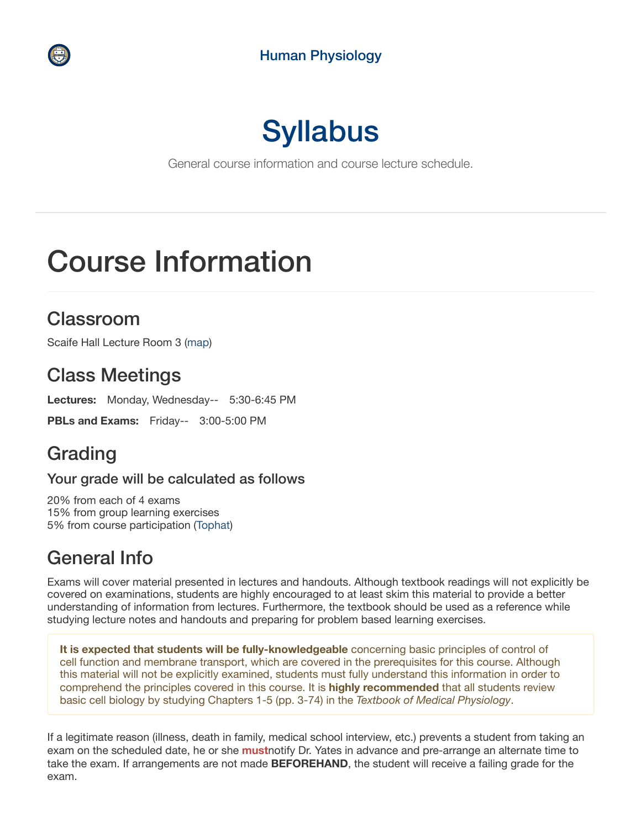



General course information and course lecture schedule.

# Course Information

#### Classroom

Scaife Hall Lecture Room 3 ([map\)](http://honorshumanphysiology.com/PDFs/Scaife_Hall_Map.pdf)

### Class Meetings

**Lectures:** Monday, Wednesday-- 5:30-6:45 PM

**PBLs and Exams:** Friday-- 3:00-5:00 PM

## Grading

#### Your grade will be calculated as follows

20% from each of 4 exams 15% from group learning exercises 5% from course participation ([Tophat](http://tophat.com/))

## General Info

Exams will cover material presented in lectures and handouts. Although textbook readings will not explicitly be covered on examinations, students are highly encouraged to at least skim this material to provide a better understanding of information from lectures. Furthermore, the textbook should be used as a reference while studying lecture notes and handouts and preparing for problem based learning exercises.

**It is expected that students will be fully-knowledgeable** concerning basic principles of control of cell function and membrane transport, which are covered in the prerequisites for this course. Although this material will not be explicitly examined, students must fully understand this information in order to comprehend the principles covered in this course. It is **highly recommended** that all students review basic cell biology by studying Chapters 1-5 (pp. 3-74) in the *Textbook of Medical Physiology*.

If a legitimate reason (illness, death in family, medical school interview, etc.) prevents a student from taking an exam on the scheduled date, he or she **must**notify Dr. Yates in advance and pre-arrange an alternate time to take the exam. If arrangements are not made **BEFOREHAND**, the student will receive a failing grade for the exam.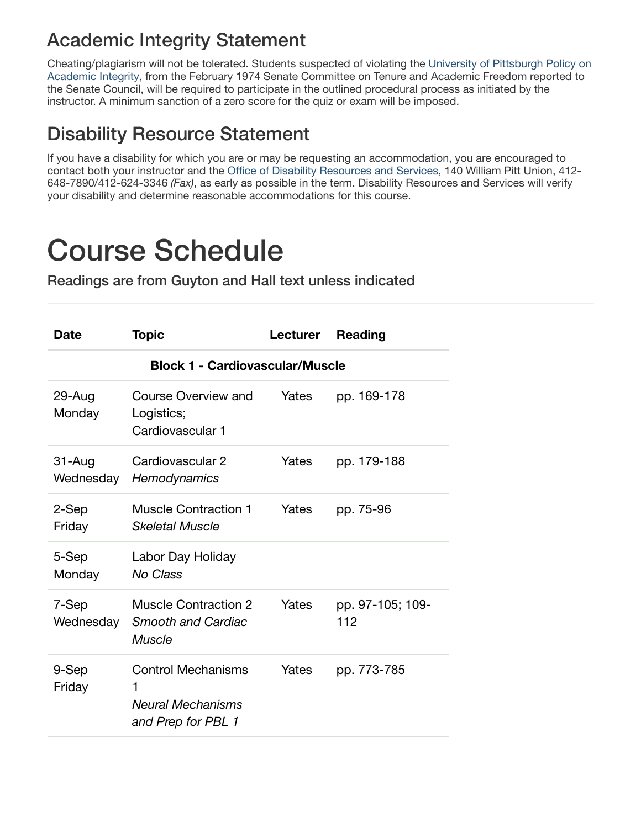## Academic Integrity Statement

Cheating/plagiarism will not be tolerated. [Students suspected](http://www.cfo.pitt.edu/policies/policy/02/02-03-02.html) of violating the University of Pittsburgh Policy on Academic Integrity, from the February 1974 Senate Committee on Tenure and Academic Freedom reported to the Senate Council, will be required to participate in the outlined procedural process as initiated by the instructor. A minimum sanction of a zero score for the quiz or exam will be imposed.

## Disability Resource Statement

If you have a disability for which you are or may be requesting an accommodation, you are encouraged to contact both your instructor and the Office of Disability [Resources and](http://www.studentaffairs.pitt.edu/drswelcome) Services, 140 William Pitt Union, 412- 648-7890/412-624-3346 *(Fax)*, as early as possible in the term. Disability Resources and Services will verify your disability and determine reasonable accommodations for this course.

# Course Schedule

Readings are from Guyton and Hall text unless indicated

| <b>Date</b>         | <b>Topic</b>                                                                     | Lecturer | <b>Reading</b>          |
|---------------------|----------------------------------------------------------------------------------|----------|-------------------------|
|                     | <b>Block 1 - Cardiovascular/Muscle</b>                                           |          |                         |
| 29-Aug<br>Monday    | Course Overview and<br>Logistics;<br>Cardiovascular 1                            | Yates    | pp. 169-178             |
| 31-Aug<br>Wednesday | Cardiovascular 2<br>Hemodynamics                                                 | Yates    | pp. 179-188             |
| 2-Sep<br>Friday     | <b>Muscle Contraction 1</b><br><b>Skeletal Muscle</b>                            | Yates    | pp. 75-96               |
| 5-Sep<br>Monday     | Labor Day Holiday<br>No Class                                                    |          |                         |
| 7-Sep<br>Wednesday  | <b>Muscle Contraction 2</b><br><b>Smooth and Cardiac</b><br>Muscle               | Yates    | pp. 97-105; 109-<br>112 |
| 9-Sep<br>Friday     | <b>Control Mechanisms</b><br>1<br><b>Neural Mechanisms</b><br>and Prep for PBL 1 | Yates    | pp. 773-785             |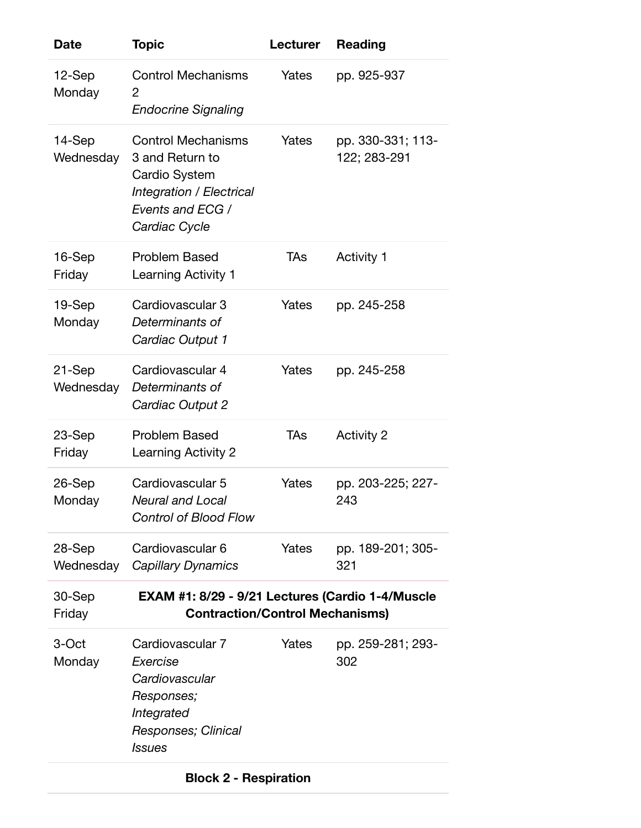| <b>Date</b>         | <b>Topic</b>                                                                                                                   | Lecturer | <b>Reading</b>                    |
|---------------------|--------------------------------------------------------------------------------------------------------------------------------|----------|-----------------------------------|
| 12-Sep<br>Monday    | <b>Control Mechanisms</b><br>2<br><b>Endocrine Signaling</b>                                                                   | Yates    | pp. 925-937                       |
| 14-Sep<br>Wednesday | <b>Control Mechanisms</b><br>3 and Return to<br>Cardio System<br>Integration / Electrical<br>Events and ECG /<br>Cardiac Cycle | Yates    | pp. 330-331; 113-<br>122; 283-291 |
| 16-Sep<br>Friday    | <b>Problem Based</b><br>Learning Activity 1                                                                                    | TAs      | <b>Activity 1</b>                 |
| 19-Sep<br>Monday    | Cardiovascular 3<br>Determinants of<br>Cardiac Output 1                                                                        | Yates    | pp. 245-258                       |
| 21-Sep<br>Wednesday | Cardiovascular 4<br>Determinants of<br>Cardiac Output 2                                                                        | Yates    | pp. 245-258                       |
| 23-Sep<br>Friday    | <b>Problem Based</b><br>Learning Activity 2                                                                                    | TAs      | <b>Activity 2</b>                 |
| 26-Sep<br>Monday    | Cardiovascular 5<br>Neural and Local<br><b>Control of Blood Flow</b>                                                           | Yates    | pp. 203-225; 227-<br>243          |
| 28-Sep<br>Wednesday | Cardiovascular 6<br><b>Capillary Dynamics</b>                                                                                  | Yates    | pp. 189-201; 305-<br>321          |
| 30-Sep<br>Friday    | EXAM #1: 8/29 - 9/21 Lectures (Cardio 1-4/Muscle<br><b>Contraction/Control Mechanisms)</b>                                     |          |                                   |
| 3-Oct<br>Monday     | Cardiovascular 7<br>Exercise<br>Cardiovascular<br>Responses;<br>Integrated<br>Responses; Clinical<br><b>Issues</b>             | Yates    | pp. 259-281; 293-<br>302          |

#### **Block 2 - Respiration**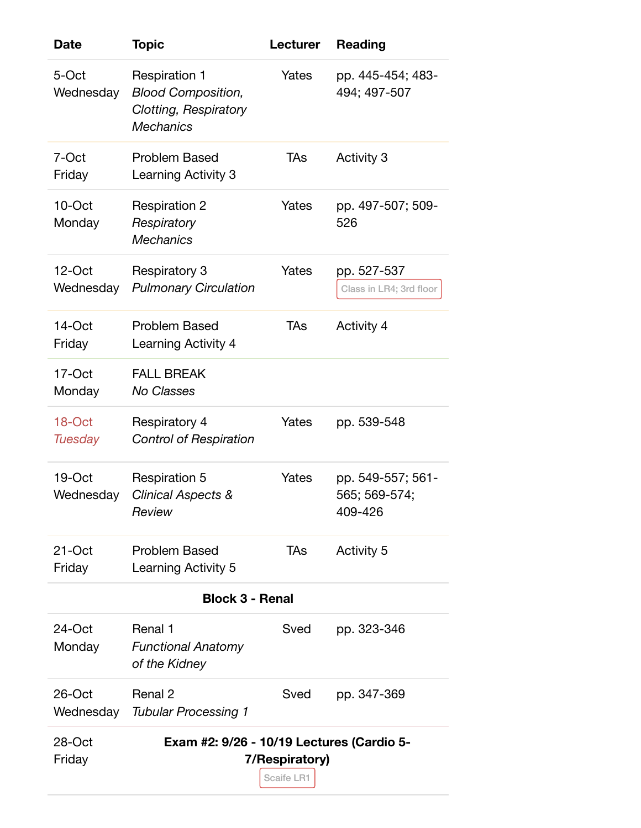| <b>Date</b>                                                                                   | <b>Topic</b>                                                                                   | Lecturer   | <b>Reading</b>                                |  |
|-----------------------------------------------------------------------------------------------|------------------------------------------------------------------------------------------------|------------|-----------------------------------------------|--|
| 5-Oct<br>Wednesday                                                                            | <b>Respiration 1</b><br><b>Blood Composition,</b><br>Clotting, Respiratory<br><b>Mechanics</b> | Yates      | pp. 445-454; 483-<br>494; 497-507             |  |
| 7-Oct<br>Friday                                                                               | <b>Problem Based</b><br>Learning Activity 3                                                    | <b>TAs</b> | <b>Activity 3</b>                             |  |
| 10-Oct<br>Monday                                                                              | <b>Respiration 2</b><br>Respiratory<br><b>Mechanics</b>                                        | Yates      | pp. 497-507; 509-<br>526                      |  |
| 12-Oct<br>Wednesday                                                                           | <b>Respiratory 3</b><br><b>Pulmonary Circulation</b>                                           | Yates      | pp. 527-537<br>Class in LR4; 3rd floor        |  |
| $14$ -Oct<br>Friday                                                                           | <b>Problem Based</b><br>Learning Activity 4                                                    | <b>TAs</b> | <b>Activity 4</b>                             |  |
| 17-Oct<br>Monday                                                                              | <b>FALL BREAK</b><br><b>No Classes</b>                                                         |            |                                               |  |
| 18-Oct<br><b>Tuesday</b>                                                                      | Respiratory 4<br><b>Control of Respiration</b>                                                 | Yates      | pp. 539-548                                   |  |
| 19-Oct<br>Wednesday                                                                           | <b>Respiration 5</b><br><b>Clinical Aspects &amp;</b><br>Review                                | Yates      | pp. 549-557; 561-<br>565; 569-574;<br>409-426 |  |
| 21-Oct<br>Friday                                                                              | <b>Problem Based</b><br>Learning Activity 5                                                    | <b>TAs</b> | <b>Activity 5</b>                             |  |
| <b>Block 3 - Renal</b>                                                                        |                                                                                                |            |                                               |  |
| 24-Oct<br>Monday                                                                              | Renal 1<br><b>Functional Anatomy</b><br>of the Kidney                                          | Sved       | pp. 323-346                                   |  |
| 26-Oct<br>Wednesday                                                                           | Renal 2<br><b>Tubular Processing 1</b>                                                         | Sved       | pp. 347-369                                   |  |
| 28-Oct<br>Exam #2: 9/26 - 10/19 Lectures (Cardio 5-<br>7/Respiratory)<br>Friday<br>Scaife LR1 |                                                                                                |            |                                               |  |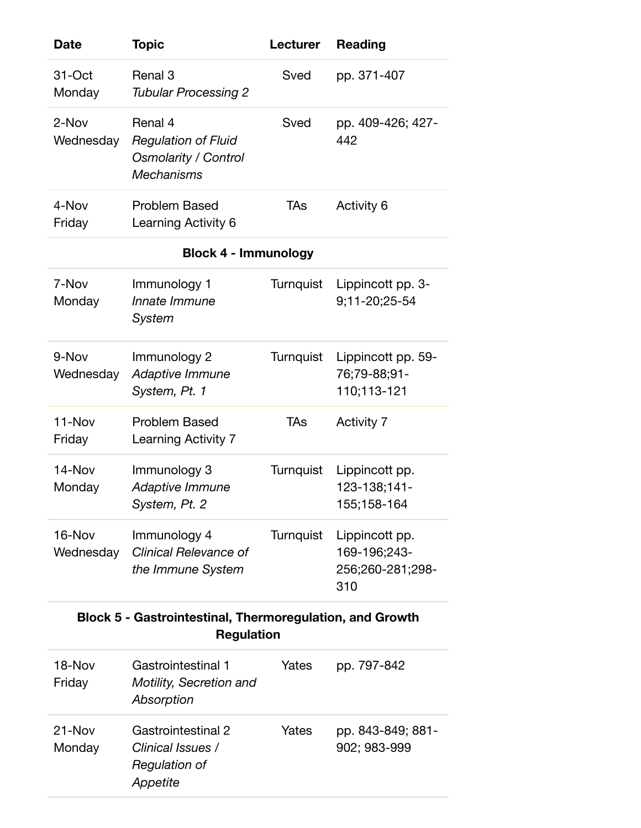| <b>Date</b>                 | <b>Topic</b>                                                                              | Lecturer   | <b>Reading</b>                                            |  |
|-----------------------------|-------------------------------------------------------------------------------------------|------------|-----------------------------------------------------------|--|
| 31-Oct<br>Monday            | Renal 3<br><b>Tubular Processing 2</b>                                                    | Sved       | pp. 371-407                                               |  |
| 2-Nov<br>Wednesday          | Renal 4<br><b>Regulation of Fluid</b><br><b>Osmolarity / Control</b><br><b>Mechanisms</b> | Sved       | pp. 409-426; 427-<br>442                                  |  |
| 4-Nov<br>Friday             | <b>Problem Based</b><br>Learning Activity 6                                               | <b>TAs</b> | Activity 6                                                |  |
| <b>Block 4 - Immunology</b> |                                                                                           |            |                                                           |  |
| 7-Nov<br>Monday             | Immunology 1<br>Innate Immune<br>System                                                   | Turnquist  | Lippincott pp. 3-<br>9;11-20;25-54                        |  |
| 9-Nov<br>Wednesday          | Immunology 2<br>Adaptive Immune<br>System, Pt. 1                                          | Turnquist  | Lippincott pp. 59-<br>76;79-88;91-<br>110;113-121         |  |
| 11-Nov<br>Friday            | <b>Problem Based</b><br>Learning Activity 7                                               | <b>TAs</b> | <b>Activity 7</b>                                         |  |
| 14-Nov<br>Monday            | Immunology 3<br>Adaptive Immune<br>System, Pt. 2                                          | Turnquist  | Lippincott pp.<br>123-138;141-<br>155;158-164             |  |
| 16-Nov<br>Wednesday         | Immunology 4<br><b>Clinical Relevance of</b><br>the Immune System                         | Turnquist  | Lippincott pp.<br>169-196;243-<br>256;260-281;298-<br>310 |  |

#### **Block 5 - Gastrointestinal, Thermoregulation, and Growth Regulation**

| 18-Nov<br>Friday   | Gastrointestinal 1<br>Motility, Secretion and<br>Absorption                 | Yates | pp. 797-842                       |
|--------------------|-----------------------------------------------------------------------------|-------|-----------------------------------|
| $21-Nov$<br>Monday | Gastrointestinal 2<br>Clinical Issues /<br><b>Regulation of</b><br>Appetite | Yates | pp. 843-849; 881-<br>902; 983-999 |